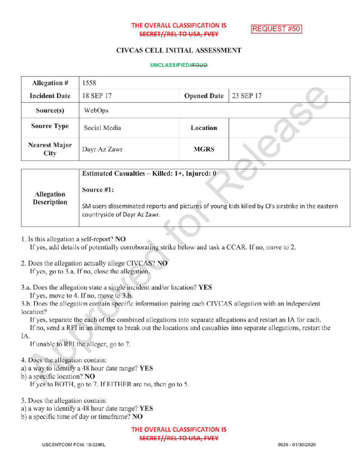## THE OVERALL CLASSIFICATION IS SECRET//REL TO USA, FVEY

**REQUEST #50** 

# CIVCAS CELL INITIALASSESSMENT

#### UNCLASSIFIED//FOUQ

| 1558         |                    |           |
|--------------|--------------------|-----------|
| 18 SEP 17    | <b>Opened Date</b> | 23 SEP 17 |
| WebOps       |                    |           |
| Social Media | Location           |           |
| Dayr Az Zawr | <b>MGRS</b>        |           |
|              |                    |           |

|                    | Estimated Casualties – Killed: 1+, Injured: 0                                                                                   |
|--------------------|---------------------------------------------------------------------------------------------------------------------------------|
| Allegation         | Source #1:                                                                                                                      |
| <b>Description</b> | SM users disseminated reports and pictures of young kids killed by CFs airstrike in the eastern<br>countryside of Dayr Az Zawr. |

1. Is this allegation a self-report? NO

If yes, add details of potentially corroborating strike below and task a CCAR. If no, move to 2.

- 2. Does the allegation actually allege CIVCAS? NO If yes, go to 3.a. If no, close the allegation.
- 3.a. Does the allegation state a single incident and/or location? YES

If yes, move to 4. If no, move to  $3.b$ .

3.b. Does the allegation contain specific information pairing each CIVCAS allegation with an independent location?

If yes, separate the each of the combined allegations into separate allegations and restart an IA for each.

If no, send a RFI in an attempt to break out the locations and casualties into separate allegations, restart the IA.

If unable to RFI the alleger, go to 7.

- 4. Does the allegation contain:
- a) a way to identify a 48 hour date range? YES
- b) <sup>a</sup> specific location? NO
	- If yes to BOTH, go to 7. If EITHER are no, then go to 5.

5. Does the allegation contain:

- a) <sup>a</sup> way to identify <sup>a</sup> 48 hour date range? YES
- b) a specific time of day or timeframe? NO

THE OVERALL CLASSIFICATION IS **SECRET//REL TO USA, FVEY**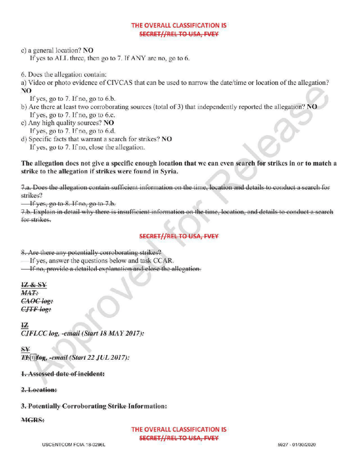# THE OVERALL CLASSIFICATION IS **SECRET//REL TO USA, FVEY**

c) <sup>a</sup> general location? NO

If yes to ALL three, then go to  $7$ . If ANY are no, go to 6.

- 6. Does the allegation contain:
- a) Video or photo evidence of CIVCAS that can be used to narrow the date/ time or location of the allegation?

NO

If yes, go to  $7.$  If no, go to  $6.b$ .

- b) Are there at least two corroborating sources (total of 3) that independently reported the allegation? NO If yes, go to  $7.$  If no, go to 6.c.
- c) Any high quality sources?  $NO$ Ifyes, go to 7. Ifno, go to 6.d.
- d) Specific facts that warrant a search for strikes? NO If yes, go to 7. If no, close the allegation.

The allegation does not give a specific enough location that we can even search for strikes in or to match a strike to the allegation if strikes were found in Syria.

7.a.Doesthe allegation contain sufficient information on the time, location and details to conduct <sup>a</sup> search for strikes?

If yes, go to  $8.$  If no, go to  $7.b.$ 

7.b. Explain in detail why there is insufficient information on the time, location, and details to conduct a search for strikes

# **SECRET//REL TO USA, FVEY**

8. Are there any potentially corroborating strikes?

- If yes, answer the questions below and task CCAR.
- **If no, provide a detailed explanation and close the allegation.**

12 & SY  $MAT:$  $C A O C I o g$ :  $CJTF$  log:

12  $CIFLCC log, -email (Start 18 *MAX* 2017):$ 

 $S_{\mathbf{Y}}$ 

T(b) log, -email (Start 22 JUL 2017):

1. Assessed date of incident:

2. Location:

3.Potentially Corroborating Strike Information:

MGRS:

THE OVERALL CLASSIFICATION IS SECRET//REL TO USA, FVEY